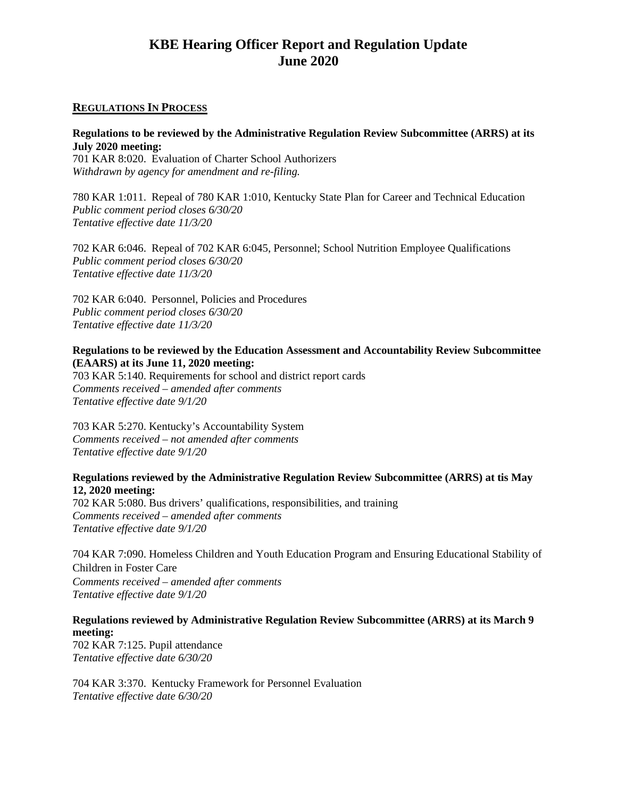# **KBE Hearing Officer Report and Regulation Update June 2020**

### **REGULATIONS IN PROCESS**

#### **Regulations to be reviewed by the Administrative Regulation Review Subcommittee (ARRS) at its July 2020 meeting:**

701 KAR 8:020. Evaluation of Charter School Authorizers *Withdrawn by agency for amendment and re-filing.*

780 KAR 1:011. Repeal of 780 KAR 1:010, Kentucky State Plan for Career and Technical Education *Public comment period closes 6/30/20 Tentative effective date 11/3/20*

702 KAR 6:046. Repeal of 702 KAR 6:045, Personnel; School Nutrition Employee Qualifications *Public comment period closes 6/30/20 Tentative effective date 11/3/20*

702 KAR 6:040. Personnel, Policies and Procedures *Public comment period closes 6/30/20 Tentative effective date 11/3/20*

### **Regulations to be reviewed by the Education Assessment and Accountability Review Subcommittee (EAARS) at its June 11, 2020 meeting:**

703 KAR 5:140. Requirements for school and district report cards *Comments received – amended after comments Tentative effective date 9/1/20*

703 KAR 5:270. Kentucky's Accountability System *Comments received – not amended after comments Tentative effective date 9/1/20*

#### **Regulations reviewed by the Administrative Regulation Review Subcommittee (ARRS) at tis May 12, 2020 meeting:**

702 KAR 5:080. Bus drivers' qualifications, responsibilities, and training *Comments received – amended after comments Tentative effective date 9/1/20*

704 KAR 7:090. Homeless Children and Youth Education Program and Ensuring Educational Stability of Children in Foster Care *Comments received – amended after comments Tentative effective date 9/1/20*

## **Regulations reviewed by Administrative Regulation Review Subcommittee (ARRS) at its March 9 meeting:**

702 KAR 7:125. Pupil attendance *Tentative effective date 6/30/20*

704 KAR 3:370. Kentucky Framework for Personnel Evaluation *Tentative effective date 6/30/20*